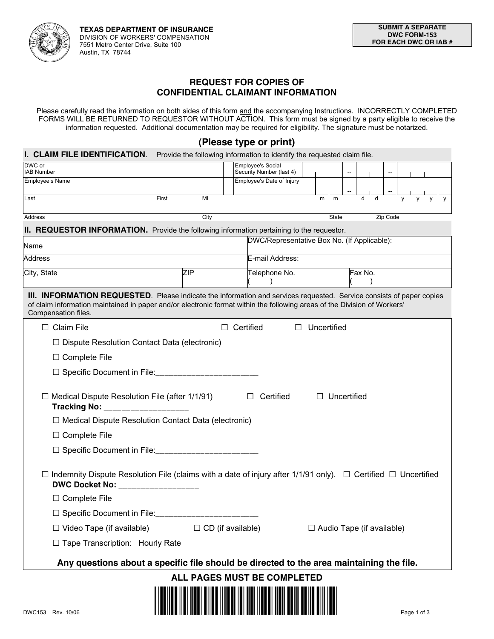

# **REQUEST FOR COPIES OF CONFIDENTIAL CLAIMANT INFORMATION**

Please carefully read the information on both sides of this form and the accompanying Instructions. INCORRECTLY COMPLETED FORMS WILL BE RETURNED TO REQUESTOR WITHOUT ACTION. This form must be signed by a party eligible to receive the information requested. Additional documentation may be required for eligibility. The signature must be notarized.

# **(Please type or print)**

### **I. CLAIM FILE IDENTIFICATION**. Provide the following information to identify the requested claim file.

| DWC or<br><b>IAB Number</b>                                                                                                                                                                                                                                                     |                   | <b>Employee's Social</b><br>Security Number (last 4) |  |             |              |                           |          |             |
|---------------------------------------------------------------------------------------------------------------------------------------------------------------------------------------------------------------------------------------------------------------------------------|-------------------|------------------------------------------------------|--|-------------|--------------|---------------------------|----------|-------------|
| <b>Employee's Name</b>                                                                                                                                                                                                                                                          |                   | Employee's Date of Injury                            |  |             |              |                           |          |             |
| Last<br>First                                                                                                                                                                                                                                                                   | MI                |                                                      |  | m           | m            | d<br>d                    |          |             |
|                                                                                                                                                                                                                                                                                 |                   |                                                      |  |             |              |                           |          |             |
| Address                                                                                                                                                                                                                                                                         | City              |                                                      |  |             | <b>State</b> |                           | Zip Code |             |
| <b>II. REQUESTOR INFORMATION.</b> Provide the following information pertaining to the requestor.<br>DWC/Representative Box No. (If Applicable):                                                                                                                                 |                   |                                                      |  |             |              |                           |          |             |
| Name<br><b>Address</b>                                                                                                                                                                                                                                                          |                   | E-mail Address:                                      |  |             |              |                           |          |             |
|                                                                                                                                                                                                                                                                                 | ZIP               |                                                      |  |             |              |                           |          |             |
| City, State                                                                                                                                                                                                                                                                     |                   | Telephone No.                                        |  |             |              | Fax No.                   |          |             |
| <b>III. INFORMATION REQUESTED</b> . Please indicate the information and services requested. Service consists of paper copies<br>of claim information maintained in paper and/or electronic format within the following areas of the Division of Workers'<br>Compensation files. |                   |                                                      |  |             |              |                           |          |             |
| Claim File                                                                                                                                                                                                                                                                      |                   | Certified                                            |  | Uncertified |              |                           |          |             |
| Dispute Resolution Contact Data (electronic)                                                                                                                                                                                                                                    |                   |                                                      |  |             |              |                           |          |             |
| $\Box$ Complete File                                                                                                                                                                                                                                                            |                   |                                                      |  |             |              |                           |          |             |
| Specific Document in File: ______________________                                                                                                                                                                                                                               |                   |                                                      |  |             |              |                           |          |             |
| Medical Dispute Resolution File (after 1/1/91)<br><b>Tracking No:</b>                                                                                                                                                                                                           |                   | Certified                                            |  |             | Uncertified  |                           |          |             |
| Medical Dispute Resolution Contact Data (electronic)                                                                                                                                                                                                                            |                   |                                                      |  |             |              |                           |          |             |
| $\Box$ Complete File                                                                                                                                                                                                                                                            |                   |                                                      |  |             |              |                           |          |             |
| Specific Document in File:__________________________                                                                                                                                                                                                                            |                   |                                                      |  |             |              |                           |          |             |
| Indemnity Dispute Resolution File (claims with a date of injury after 1/1/91 only). $\Box$ Certified $\Box$ Uncertified<br>DWC Docket No: __________________<br><b>Complete File</b><br>Specific Document in File:                                                              |                   |                                                      |  |             |              |                           |          |             |
| Video Tape (if available)                                                                                                                                                                                                                                                       | CD (if available) |                                                      |  |             |              | Audio Tape (if available) |          |             |
| Tape Transcription: Hourly Rate                                                                                                                                                                                                                                                 |                   |                                                      |  |             |              |                           |          |             |
| Any questions about a specific file should be directed to the area maintaining the file.                                                                                                                                                                                        |                   |                                                      |  |             |              |                           |          |             |
| ALL PAGES MUST BE COMPLETED                                                                                                                                                                                                                                                     |                   |                                                      |  |             |              |                           |          |             |
| DWC153 Rev. 10/06                                                                                                                                                                                                                                                               |                   |                                                      |  |             |              |                           |          | Page 1 of 3 |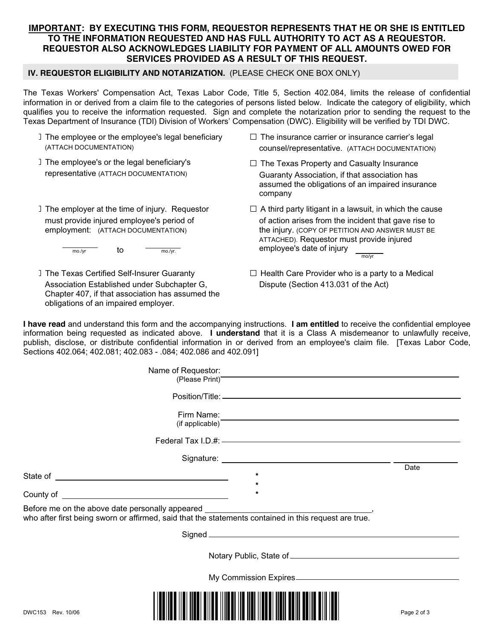### **IMPORTANT: BY EXECUTING THIS FORM, REQUESTOR REPRESENTS THAT HE OR SHE IS ENTITLED TO THE INFORMATION REQUESTED AND HAS FULL AUTHORITY TO ACT AS A REQUESTOR. REQUESTOR ALSO ACKNOWLEDGES LIABILITY FOR PAYMENT OF ALL AMOUNTS OWED FOR SERVICES PROVIDED AS A RESULT OF THIS REQUEST.**

#### **IV. REQUESTOR ELIGIBILITY AND NOTARIZATION.** (PLEASE CHECK ONE BOX ONLY)

The Texas Workers' Compensation Act, Texas Labor Code, Title 5, Section 402.084, limits the release of confidential information in or derived from a claim file to the categories of persons listed below. Indicate the category of eligibility, which qualifies you to receive the information requested. Sign and complete the notarization prior to sending the request to the Texas Department of Insurance (TDI) Division of Workers' Compensation (DWC). Eligibility will be verified by TDI DWC.

| The employee or the employee's legal beneficiary                                                                                                                                     | The insurance carrier or insurance carrier's legal                                                                                                        |  |  |  |  |  |
|--------------------------------------------------------------------------------------------------------------------------------------------------------------------------------------|-----------------------------------------------------------------------------------------------------------------------------------------------------------|--|--|--|--|--|
| (ATTACH DOCUMENTATION)                                                                                                                                                               | counsel/representative. (ATTACH DOCUMENTATION)                                                                                                            |  |  |  |  |  |
| The employee's or the legal beneficiary's<br>representative (ATTACH DOCUMENTATION)                                                                                                   | The Texas Property and Casualty Insurance<br>Guaranty Association, if that association has<br>assumed the obligations of an impaired insurance<br>company |  |  |  |  |  |
| The employer at the time of injury. Requestor                                                                                                                                        | A third party litigant in a lawsuit, in which the cause                                                                                                   |  |  |  |  |  |
| must provide injured employee's period of                                                                                                                                            | of action arises from the incident that gave rise to                                                                                                      |  |  |  |  |  |
| employment: (ATTACH DOCUMENTATION)                                                                                                                                                   | the injury. (COPY OF PETITION AND ANSWER MUST BE                                                                                                          |  |  |  |  |  |
| to                                                                                                                                                                                   | ATTACHED). Requestor must provide injured                                                                                                                 |  |  |  |  |  |
| mo./yr                                                                                                                                                                               | employee's date of injury                                                                                                                                 |  |  |  |  |  |
| mo./yr.                                                                                                                                                                              | mo/vr                                                                                                                                                     |  |  |  |  |  |
| The Texas Certified Self-Insurer Guaranty<br>Association Established under Subchapter G,<br>Chapter 407, if that association has assumed the<br>obligations of an impaired employer. | Health Care Provider who is a party to a Medical<br>Dispute (Section 413.031 of the Act)                                                                  |  |  |  |  |  |

**I have read** and understand this form and the accompanying instructions. **I am entitled** to receive the confidential employee information being requested as indicated above. **I understand** that it is a Class A misdemeanor to unlawfully receive, publish, disclose, or distribute confidential information in or derived from an employee's claim file. [Texas Labor Code, Sections 402.064; 402.081; 402.083 - .084; 402.086 and 402.091]

|                   | Name of Requestor:<br>(Please Print)<br>Character Character Character Character Character Character Character Character Character Character Character Character Character Character Character Character Character Character Character Character Charac                                         |             |
|-------------------|------------------------------------------------------------------------------------------------------------------------------------------------------------------------------------------------------------------------------------------------------------------------------------------------|-------------|
|                   |                                                                                                                                                                                                                                                                                                |             |
|                   |                                                                                                                                                                                                                                                                                                |             |
|                   | (if applicable)                                                                                                                                                                                                                                                                                |             |
|                   |                                                                                                                                                                                                                                                                                                |             |
|                   | Federal Tax I.D.#: ———————————————————————————————                                                                                                                                                                                                                                             |             |
|                   |                                                                                                                                                                                                                                                                                                |             |
|                   |                                                                                                                                                                                                                                                                                                | Date        |
|                   | $\star$<br>$\star$                                                                                                                                                                                                                                                                             |             |
|                   | *<br>County of <u>the country of the country of the country of the country of the country of the country of the country of the country of the country of the country of the country of the country of the country of the country of t</u>                                                      |             |
|                   | Before me on the above date personally appeared ________________________________<br>who after first being sworn or affirmed, said that the statements contained in this request are true.                                                                                                      |             |
|                   | Signed <u>Signed</u> Signed <b>Signed</b> Signed <b>Signed</b> Signed <b>Signed</b> Signed <b>Signed</b> Signed <b>Signed</b> Signed <b>Signed</b> Signed <b>Signed</b> Signed <b>Signed</b> Signed <b>Signed</b> Signed <b>Signed</b> Signed <b>Signed</b> Signed <b>Signed</b> Signed Signed |             |
|                   |                                                                                                                                                                                                                                                                                                |             |
|                   |                                                                                                                                                                                                                                                                                                |             |
| DWC153 Rev. 10/06 |                                                                                                                                                                                                                                                                                                | Page 2 of 3 |